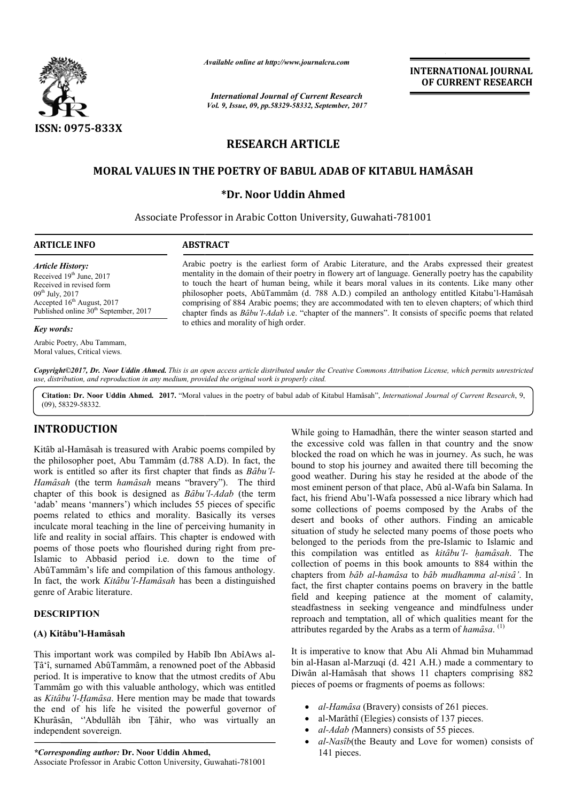

*Available online at http://www.journalcra.com*

*International Journal of Current Research Vol. 9, Issue, 09, pp.58329-58332, September, 2017* **INTERNATIONAL JOURNAL OF CURRENT RESEARCH**

# **RESEARCH ARTICLE**

# **MORAL VALUES IN THE POETRY OF BABUL ADAB OF KITABUL HAMÂSAH POETRY OF**

# **\*Dr. Noor Uddin Ahmed**

Associate Professor in Arabic Cotton University, Guwahati-781001 781001

| <b>ARTICLE INFO</b>                               | <b>ABSTRACT</b>                                                                                               |
|---------------------------------------------------|---------------------------------------------------------------------------------------------------------------|
| <i><b>Article History:</b></i>                    | Arabic poetry is the earliest form of Arabic Literature, and the Arabs expressed their greatest               |
| Received $19th$ June, 2017                        | mentality in the domain of their poetry in flowery art of language. Generally poetry has the capability       |
| Received in revised form                          | to touch the heart of human being, while it bears moral values in its contents. Like many other               |
| $09^{th}$ July, 2017                              | philosopher poets, AbûTammâm (d. 788 A.D.) compiled an anthology entitled Kitabu'l-Hamâsah                    |
| Accepted $16th$ August, 2017                      | comprising of 884 Arabic poems; they are accommodated with ten to eleven chapters; of which third             |
| Published online 30 <sup>th</sup> September, 2017 | chapter finds as <i>Bâbu'l-Adab</i> i.e. "chapter of the manners". It consists of specific poems that related |

to ethics and morality of high order.

*Key words:*

Arabic Poetry, Abu Tammam, Moral values, Critical views.

Copyright©2017, Dr. Noor Uddin Ahmed. This is an open access article distributed under the Creative Commons Attribution License, which permits unrestricted *use, distribution, and reproduction in any medium, provided the original work is properly cited.*

Citation: Dr. Noor Uddin Ahmed. 2017. "Moral values in the poetry of babul adab of Kitabul Hamâsah", *International Journal of Current Research*, 9, (09), 58329-58332.

# **INTRODUCTION**

Kitab al-Hamasah is treasured with Arabic poems compiled by the philosopher poet, Abu Tammâm (d.788 A.D). In fact, the work is entitled so after its first chapter that finds as Bâbu'l-*Hamȃsah* (the term *hamȃsah* means "bravery"). The third chapter of this book is designed as *Bâbu'l-Adab* (the term 'adab' means 'manners') which includes 55 pieces of specific poems related to ethics and morality. Basically its verses inculcate moral teaching in the line of perceiving humanity in life and reality in social affairs. This chapter is endowed with poems of those poets who flourished during right from pre-Islamic to Abbasid period i.e. down to the time of AbûTammâm's life and compilation of this famous anthology. In fact, the work *Kitȃbu'l-Hamȃsah* has been a distinguished genre of Arabic literature. slamic to Abbasid period i.e. down to the time of<br>
AbûTammâm's life and compilation of this famous anthology.<br>
n fact, the work *Kitâbu'l-Hamâsah* has been a distinguished<br>
genre of Arabic literature.<br> **DESCRIPTION**<br> **A) K** 

### **DESCRIPTION**

### **(A) Kitȃbu'l-Hamȃsah**

This important work was compiled by Habîb Ibn AbîAws al-Ṭȃ'î, surnamed AbȗTammȃm, a renowned poet of the Abbasid period. It is imperative to know that the utmost credits of Abu Tammam go with this valuable anthology, which was entitled as *Kitȃbu'l-Ḥamȃsa*. Here mention may be made that towards the end of his life he visited the powerful governor of Tammâm go with this valuable anthology, which was entitled as *Kitâbu'l-Hamâsa*. Here mention may be made that towards the end of his life he visited the powerful governor of Khurâsân, "Abdullâh ibn Țâhir, who was virtuall independent sovereign.

*\*Corresponding author:* **Dr. Noor Uddin Ahmed Ahmed,** Associate Professor in Arabic Cotton University, Guwahati-781001

While going to Hamadhân, there the winter season started and the excessive cold was fallen in that country and the snow blocked the road on which he was in journey. As such, he was bound to stop his journey and awaited there till becoming the good weather. During his stay he resided at the abode of the most eminent person of that place, Abû al-Wafa bin Salama. In fact, his friend Abu'l-Wafa possessed a nice library which had fact, his friend Abu'l-Wafa possessed a nice library which had some collections of poems composed by the Arabs of the desert and books of other authors. Finding an amicable situation of study he selected many poems of those poets who belonged to the periods from the pre-Islamic to Islamic and this compilation was entitled as kitabu'l- hamasah. The collection of poems in this book amounts to 884 within the collection of poems in this book amounts to 884 within the chapters from *bâb al-hamâsa* to *bâb mudhamma al-nisâ'*. In fact, the first chapter contains poems on bravery in the battle field and keeping patience at the moment of calamity, steadfastness in seeking vengeance and mindfulness under reproach and temptation, all of which qualities meant for the attributes regarded by the Arabs as a term of hamâsa.<sup>(1)</sup> While going to Hamadhân, there the winter season started and the excessive cold was fallen in that country and the snow blocked the road on which he was in journey. As such, he was bound to stop his journey and awaited the and books of other authors. Finding an amicable<br>n of study he selected many poems of those poets who<br>d to the periods from the pre-Islamic to Islamic and he first chapter contains poems on bravery in the battle and keeping patience at the moment of calamity, astness in seeking vengeance and mindfulness under **INTERNATIONAL JOURNAL**<br> **OF CURRENT RESEARCH**<br> **OF CURRENT RESEARCH**<br> **OF CURRENT RESEARCH**<br> **20101**<br> **20101**<br> **20101**<br> **20101**<br> **20101**<br> **20101**<br> **20101**<br> **20101**<br> **20101**<br> **20101**<br> **20101**<br> **20101**<br> **20101**<br> **20101**<br>

It is imperative to know that Abu Ali Ahmad bin Muhammad bin al-Hasan al-Marzuqi (d. 421 A.H.) made a commentary to Diwân al-Hamâsah that shows 11 chapters comprising 882 pieces of poems or fragments of poems as follows: It is imperative to know that Abu Ali Ahmad bin Muhammad<br>bin al-Hasan al-Marzuqi (d. 421 A.H.) made a commentary to<br>Diwân al-Hamâsah that shows 11 chapters comprising 882<br>pieces of poems or fragments of poems as follows:<br>•

- *al-Hamâsa* (Bravery) consists of 261 pieces.
- al-Marâthî (Elegies) consists of 137 pieces.
- *al-Adab (*Manners) consists of 55 pieces.
- *al-Nasîb*(the Beauty and Love for women) consists of 141 pieces.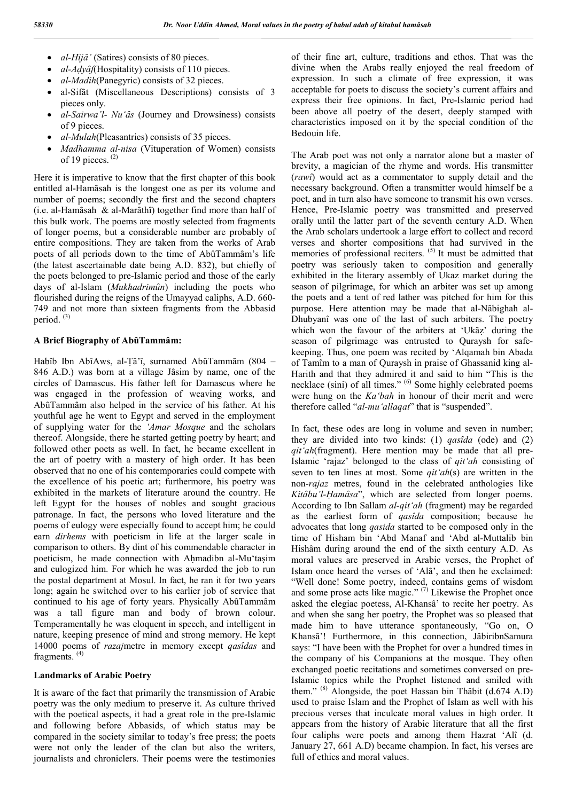- *al-Hijâ'* (Satires) consists of 80 pieces.
- *al-Aḍyȃf*(Hospitality) consists of 110 pieces.
- *al-Madih*(Panegyric) consists of 32 pieces.
- al-Sifãt (Miscellaneous Descriptions) consists of 3 pieces only.
- *al-Sairwa'l- Nu'ȃs* (Journey and Drowsiness) consists of 9 pieces.
- *al-Mulah*(Pleasantries) consists of 35 pieces.
- *Madhamma al-nisa* (Vituperation of Women) consists of 19 pieces. (2)

Here it is imperative to know that the first chapter of this book entitled al-Hamâsah is the longest one as per its volume and number of poems; secondly the first and the second chapters (i.e. al-Hamâsah & al-Marâthî) together find more than half of this bulk work. The poems are mostly selected from fragments of longer poems, but a considerable number are probably of entire compositions. They are taken from the works of Arab poets of all periods down to the time of AbûTammâm's life (the latest ascertainable date being A.D. 832), but chiefly of the poets belonged to pre-Islamic period and those of the early days of al-Islam (*Mukhadrimûn*) including the poets who flourished during the reigns of the Umayyad caliphs, A.D. 660- 749 and not more than sixteen fragments from the Abbasid period.<sup>(3)</sup>

#### **A Brief Biography of AbȗTammȃm:**

Habîb Ibn AbîAws, al-Țâ'î, surnamed AbûTammâm (804 – 846 A.D.) was born at a village Jâsim by name, one of the circles of Damascus. His father left for Damascus where he was engaged in the profession of weaving works, and AbûTammâm also helped in the service of his father. At his youthful age he went to Egypt and served in the employment of supplying water for the *'Amar Mosque* and the scholars thereof. Alongside, there he started getting poetry by heart; and followed other poets as well. In fact, he became excellent in the art of poetry with a mastery of high order. It has been observed that no one of his contemporaries could compete with the excellence of his poetic art; furthermore, his poetry was exhibited in the markets of literature around the country. He left Egypt for the houses of nobles and sought gracious patronage. In fact, the persons who loved literature and the poems of eulogy were especially found to accept him; he could earn *dirhems* with poeticism in life at the larger scale in comparison to others. By dint of his commendable character in poeticism, he made connection with Ahmadibn al-Mu'tasim and eulogized him. For which he was awarded the job to run the postal department at Mosul. In fact, he ran it for two years long; again he switched over to his earlier job of service that continued to his age of forty years. Physically AbûTammâm was a tall figure man and body of brown colour. Temperamentally he was eloquent in speech, and intelligent in nature, keeping presence of mind and strong memory. He kept 14000 poems of *razaj*metre in memory except *qasȋdas* and fragments. (4)

#### **Landmarks of Arabic Poetry**

It is aware of the fact that primarily the transmission of Arabic poetry was the only medium to preserve it. As culture thrived with the poetical aspects, it had a great role in the pre-Islamic and following before Abbasids, of which status may be compared in the society similar to today's free press; the poets were not only the leader of the clan but also the writers, journalists and chroniclers. Their poems were the testimonies of their fine art, culture, traditions and ethos. That was the divine when the Arabs really enjoyed the real freedom of expression. In such a climate of free expression, it was acceptable for poets to discuss the society's current affairs and express their free opinions. In fact, Pre-Islamic period had been above all poetry of the desert, deeply stamped with characteristics imposed on it by the special condition of the Bedouin life.

The Arab poet was not only a narrator alone but a master of brevity, a magician of the rhyme and words. His transmitter (*rawî*) would act as a commentator to supply detail and the necessary background. Often a transmitter would himself be a poet, and in turn also have someone to transmit his own verses. Hence, Pre-Islamic poetry was transmitted and preserved orally until the latter part of the seventh century A.D. When the Arab scholars undertook a large effort to collect and record verses and shorter compositions that had survived in the memories of professional reciters.  $(5)$  It must be admitted that poetry was seriously taken to composition and generally exhibited in the literary assembly of Ukaz market during the season of pilgrimage, for which an arbiter was set up among the poets and a tent of red lather was pitched for him for this purpose. Here attention may be made that al-Nȃbighah al-Dhubyanî was one of the last of such arbiters. The poetry which won the favour of the arbiters at 'Ukaz' during the season of pilgrimage was entrusted to Quraysh for safekeeping. Thus, one poem was recited by 'Alqamah bin Abada of Tamîm to a man of Quraysh in praise of Ghassanid king al-Harith and that they admired it and said to him "This is the necklace (sini) of all times." <sup>(6)</sup> Some highly celebrated poems were hung on the *Ka'bah* in honour of their merit and were therefore called "*al-mu'allaqat*" that is "suspended".

In fact, these odes are long in volume and seven in number; they are divided into two kinds: (1) *qasȋda* (ode) and (2) *qit'ah*(fragment). Here mention may be made that all pre-Islamic 'rajaz' belonged to the class of *qit'ah* consisting of seven to ten lines at most. Some *qit'ah*(s) are written in the non-*rajaz* metres, found in the celebrated anthologies like *Kitâbu'l-Hamâsa*", which are selected from longer poems. According to Ibn Sallam *al-qit'ah* (fragment) may be regarded as the earliest form of *qasîda* composition; because he advocates that long *qasida* started to be composed only in the time of Hisham bin 'Abd Manaf and 'Abd al-Muttalib bin Hisham during around the end of the sixth century A.D. As moral values are preserved in Arabic verses, the Prophet of Islam once heard the verses of 'Ala<sup>2</sup>', and then he exclaimed: "Well done! Some poetry, indeed, contains gems of wisdom and some prose acts like magic."  $(7)$  Likewise the Prophet once asked the elegiac poetess, Al-Khansȃ' to recite her poetry. As and when she sang her poetry, the Prophet was so pleased that made him to have utterance spontaneously, "Go on, O Khansâ'! Furthermore, in this connection, JâbiribnSamura says: "I have been with the Prophet for over a hundred times in the company of his Companions at the mosque. They often exchanged poetic recitations and sometimes conversed on pre-Islamic topics while the Prophet listened and smiled with them."  $^{(8)}$  Alongside, the poet Hassan bin Thâbit (d.674 A.D) used to praise Islam and the Prophet of Islam as well with his precious verses that inculcate moral values in high order. It appears from the history of Arabic literature that all the first four caliphs were poets and among them Hazrat 'Alî (d. January 27, 661 A.D) became champion. In fact, his verses are full of ethics and moral values.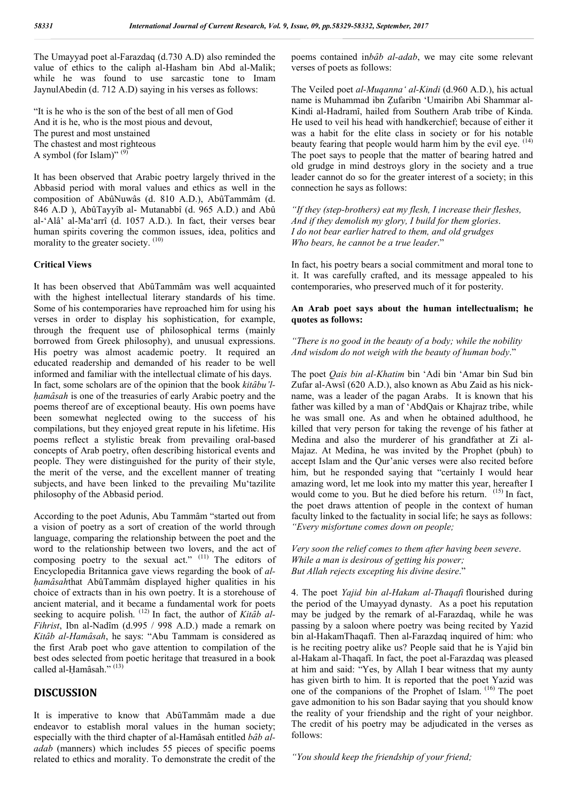The Umayyad poet al-Farazdaq (d.730 A.D) also reminded the value of ethics to the caliph al-Hasham bin Abd al-Malik; while he was found to use sarcastic tone to Imam JaynulAbedin (d. 712 A.D) saying in his verses as follows:

"It is he who is the son of the best of all men of God And it is he, who is the most pious and devout, The purest and most unstained The chastest and most righteous A symbol (for Islam)"  $^{(9)}$ 

It has been observed that Arabic poetry largely thrived in the Abbasid period with moral values and ethics as well in the composition of AbûNuwâs (d. 810 A.D.), AbûTammâm (d. 846 A.D ), AbûTayyîb al- Mutanabbî (d. 965 A.D.) and Abû al-'Alâ' al-Ma'arrî (d. 1057 A.D.). In fact, their verses bear human spirits covering the common issues, idea, politics and morality to the greater society. <sup>(10)</sup>

### **Critical Views**

It has been observed that AbûTammâm was well acquainted with the highest intellectual literary standards of his time. Some of his contemporaries have reproached him for using his verses in order to display his sophistication, for example, through the frequent use of philosophical terms (mainly borrowed from Greek philosophy), and unusual expressions. His poetry was almost academic poetry. It required an educated readership and demanded of his reader to be well informed and familiar with the intellectual climate of his days. In fact, some scholars are of the opinion that the book *kitâbu'lḥamȃsah* is one of the treasuries of early Arabic poetry and the poems thereof are of exceptional beauty. His own poems have been somewhat neglected owing to the success of his compilations, but they enjoyed great repute in his lifetime. His poems reflect a stylistic break from prevailing oral-based concepts of Arab poetry, often describing historical events and people. They were distinguished for the purity of their style, the merit of the verse, and the excellent manner of treating subjects, and have been linked to the prevailing Mu'tazilite philosophy of the Abbasid period.

According to the poet Adunis, Abu Tammȃm "started out from a vision of poetry as a sort of creation of the world through language, comparing the relationship between the poet and the word to the relationship between two lovers, and the act of composing poetry to the sexual act." (11) The editors of Encyclopedia Britannica gave views regarding the book of *alhamâsah*that AbûTammâm displayed higher qualities in his choice of extracts than in his own poetry. It is a storehouse of ancient material, and it became a fundamental work for poets seeking to acquire polish.<sup>(12)</sup> In fact, the author of *Kitâb al-Fihrist*, Ibn al-Nadîm (d.995 / 998 A.D.) made a remark on *Kitȃb al-Hamȃsah*, he says: "Abu Tammam is considered as the first Arab poet who gave attention to compilation of the best odes selected from poetic heritage that treasured in a book called al-Ḥamāsah." (13)

# **DISCUSSION**

It is imperative to know that AbûTammâm made a due endeavor to establish moral values in the human society; especially with the third chapter of al-Hamasah entitled *bab aladab* (manners) which includes 55 pieces of specific poems related to ethics and morality. To demonstrate the credit of the

poems contained in*bȃb al-adab*, we may cite some relevant verses of poets as follows:

The Veiled poet *al-Muqanna' al-Kindi* (d.960 A.D.), his actual name is Muhammad ibn Ẓufaribn 'Umairibn Abi Shammar al-Kindi al-Hadramî, hailed from Southern Arab tribe of Kinda. He used to veil his head with handkerchief; because of either it was a habit for the elite class in society or for his notable beauty fearing that people would harm him by the evil eye. <sup>(14)</sup> The poet says to people that the matter of bearing hatred and old grudge in mind destroys glory in the society and a true leader cannot do so for the greater interest of a society; in this connection he says as follows:

*"If they (step-brothers) eat my flesh, I increase their fleshes, And if they demolish my glory, I build for them glories*. *I do not bear earlier hatred to them, and old grudges Who bears, he cannot be a true leader*."

In fact, his poetry bears a social commitment and moral tone to it. It was carefully crafted, and its message appealed to his contemporaries, who preserved much of it for posterity.

### **An Arab poet says about the human intellectualism; he quotes as follows:**

*"There is no good in the beauty of a body; while the nobility And wisdom do not weigh with the beauty of human body*."

The poet *Qais bin al-Khatim* bin 'Adi bin 'Amar bin Sud bin Zufar al-Awsȋ (620 A.D.), also known as Abu Zaid as his nickname, was a leader of the pagan Arabs. It is known that his father was killed by a man of 'AbdQais or Khajraz tribe, while he was small one. As and when he obtained adulthood, he killed that very person for taking the revenge of his father at Medina and also the murderer of his grandfather at Zi al-Majaz. At Medina, he was invited by the Prophet (pbuh) to accept Islam and the Qur'anic verses were also recited before him, but he responded saying that "certainly I would hear amazing word, let me look into my matter this year, hereafter I would come to you. But he died before his return. <sup>(15)</sup> In fact, the poet draws attention of people in the context of human faculty linked to the factuality in social life; he says as follows: *"Every misfortune comes down on people;* 

*Very soon the relief comes to them after having been severe*. *While a man is desirous of getting his power; But Allah rejects excepting his divine desire*."

4. The poet *Yajid bin al-Hakam al-Thaqafi* flourished during the period of the Umayyad dynasty. As a poet his reputation may be judged by the remark of al-Farazdaq, while he was passing by a saloon where poetry was being recited by Yazid bin al-HakamThaqafî. Then al-Farazdaq inquired of him: who is he reciting poetry alike us? People said that he is Yajid bin al-Hakam al-Thaqafȋ. In fact, the poet al-Farazdaq was pleased at him and said: "Yes, by Allah I bear witness that my aunty has given birth to him. It is reported that the poet Yazid was one of the companions of the Prophet of Islam. (16) The poet gave admonition to his son Badar saying that you should know the reality of your friendship and the right of your neighbor. The credit of his poetry may be adjudicated in the verses as follows:

*"You should keep the friendship of your friend;*